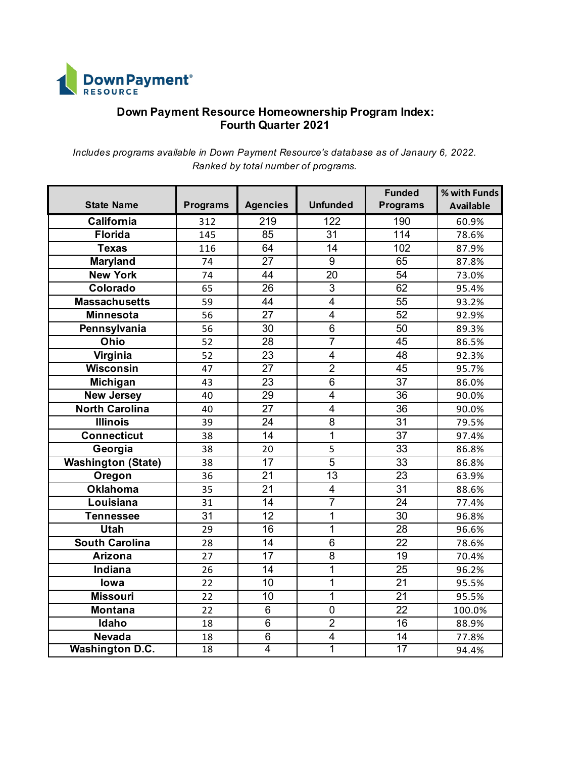

## **Down Payment Resource Homeownership Program Index: Fourth Quarter 2021**

*Includes programs available in Down Payment Resource's database as of Janaury 6, 2022. Ranked by total number of programs.*

| <b>State Name</b>         | <b>Programs</b> | <b>Agencies</b> | <b>Unfunded</b>         | <b>Funded</b><br><b>Programs</b> | % with Funds<br><b>Available</b> |
|---------------------------|-----------------|-----------------|-------------------------|----------------------------------|----------------------------------|
| California                | 312             | 219             | 122                     | 190                              | 60.9%                            |
| <b>Florida</b>            | 145             | 85              | 31                      | 114                              | 78.6%                            |
| <b>Texas</b>              | 116             | 64              | $\overline{14}$         | 102                              | 87.9%                            |
| <b>Maryland</b>           | 74              | $\overline{27}$ | $\overline{9}$          | 65                               | 87.8%                            |
| <b>New York</b>           | 74              | 44              | 20                      | 54                               | 73.0%                            |
| Colorado                  | 65              | $\overline{26}$ | $\overline{3}$          | 62                               | 95.4%                            |
| <b>Massachusetts</b>      | 59              | 44              | $\overline{4}$          | 55                               | 93.2%                            |
| <b>Minnesota</b>          | 56              | 27              | $\overline{4}$          | 52                               | 92.9%                            |
| Pennsylvania              | 56              | $\overline{30}$ | $\overline{6}$          | 50                               | 89.3%                            |
| Ohio                      | 52              | 28              | $\overline{7}$          | 45                               | 86.5%                            |
| Virginia                  | 52              | 23              | $\overline{4}$          | 48                               | 92.3%                            |
| <b>Wisconsin</b>          | 47              | $\overline{27}$ | $\overline{2}$          | $\overline{45}$                  | 95.7%                            |
| Michigan                  | 43              | 23              | 6                       | 37                               | 86.0%                            |
| <b>New Jersey</b>         | 40              | 29              | $\overline{\mathbf{4}}$ | 36                               | 90.0%                            |
| <b>North Carolina</b>     | 40              | $\overline{27}$ | $\overline{4}$          | $\overline{36}$                  | 90.0%                            |
| <b>Illinois</b>           | 39              | 24              | $\overline{8}$          | $\overline{31}$                  | 79.5%                            |
| <b>Connecticut</b>        | 38              | $\overline{14}$ | $\overline{1}$          | $\overline{37}$                  | 97.4%                            |
| Georgia                   | 38              | 20              | 5                       | $\overline{33}$                  | 86.8%                            |
| <b>Washington (State)</b> | 38              | 17              | $\overline{5}$          | 33                               | 86.8%                            |
| Oregon                    | 36              | 21              | $\overline{13}$         | 23                               | 63.9%                            |
| <b>Oklahoma</b>           | 35              | $\overline{21}$ | $\overline{4}$          | $\overline{31}$                  | 88.6%                            |
| Louisiana                 | 31              | 14              | $\overline{7}$          | 24                               | 77.4%                            |
| <b>Tennessee</b>          | $\overline{31}$ | $\overline{12}$ | $\overline{1}$          | $\overline{30}$                  | 96.8%                            |
| <b>Utah</b>               | 29              | $\overline{16}$ | 1                       | $\overline{28}$                  | 96.6%                            |
| <b>South Carolina</b>     | 28              | $\overline{14}$ | $\overline{6}$          | $\overline{22}$                  | 78.6%                            |
| <b>Arizona</b>            | 27              | 17              | $\overline{8}$          | 19                               | 70.4%                            |
| <b>Indiana</b>            | 26              | $\overline{14}$ | $\overline{1}$          | $\overline{25}$                  | 96.2%                            |
| lowa                      | 22              | 10              | 1                       | 21                               | 95.5%                            |
| <b>Missouri</b>           | 22              | 10              | 1                       | 21                               | 95.5%                            |
| <b>Montana</b>            | 22              | $\overline{6}$  | $\overline{0}$          | $\overline{22}$                  | 100.0%                           |
| Idaho                     | 18              | $\overline{6}$  | $\overline{2}$          | 16                               | 88.9%                            |
| <b>Nevada</b>             | 18              | $\,6$           | $\overline{\mathbf{4}}$ | 14                               | 77.8%                            |
| <b>Washington D.C.</b>    | 18              | $\overline{4}$  | 1                       | $\overline{17}$                  | 94.4%                            |